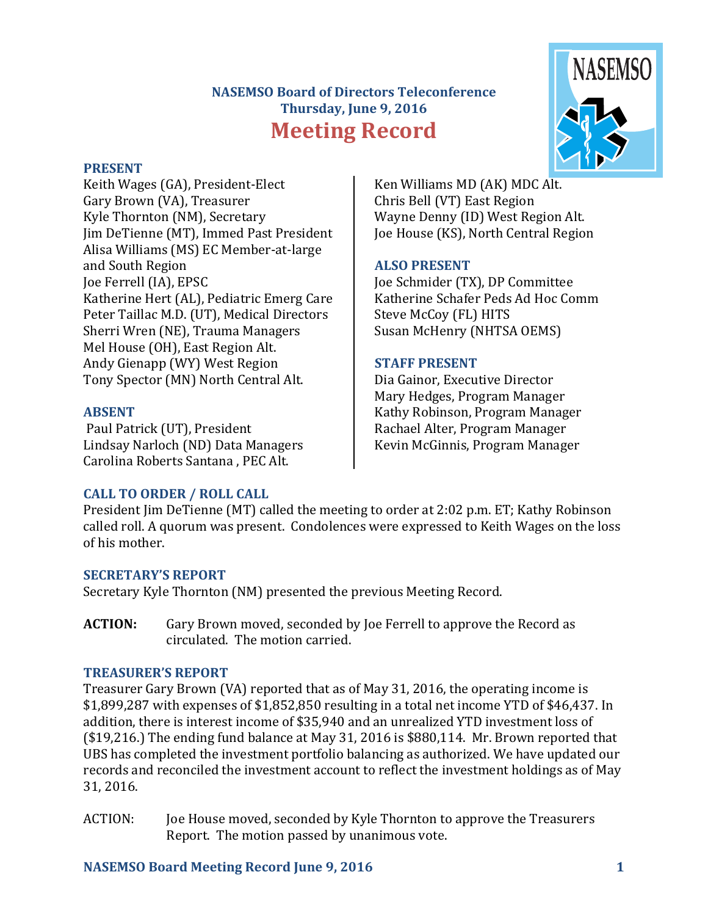# **NASEMSO Board of Directors Teleconference Thursday, June 9, 2016 Meeting Record**



Keith Wages (GA), President-Elect Gary Brown (VA), Treasurer Kyle Thornton (NM), Secretary Jim DeTienne (MT), Immed Past President Alisa Williams (MS) EC Member-at-large and South Region Joe Ferrell (IA), EPSC Katherine Hert (AL), Pediatric Emerg Care Peter Taillac M.D. (UT), Medical Directors Sherri Wren (NE), Trauma Managers Mel House (OH), East Region Alt. Andy Gienapp (WY) West Region Tony Spector (MN) North Central Alt.

### **ABSENT**

Paul Patrick (UT), President Lindsay Narloch (ND) Data Managers Carolina Roberts Santana . PEC Alt.

Ken Williams MD (AK) MDC Alt. Chris Bell (VT) East Region Wayne Denny (ID) West Region Alt. Joe House (KS), North Central Region

### **ALSO PRESENT**

Joe Schmider (TX), DP Committee Katherine Schafer Peds Ad Hoc Comm Steve McCoy (FL) HITS Susan McHenry (NHTSA OEMS)

### **STAFF PRESENT**

Dia Gainor, Executive Director Mary Hedges, Program Manager Kathy Robinson, Program Manager Rachael Alter, Program Manager Kevin McGinnis, Program Manager

### **CALL TO ORDER / ROLL CALL**

President Jim DeTienne (MT) called the meeting to order at 2:02 p.m. ET; Kathy Robinson called roll. A quorum was present. Condolences were expressed to Keith Wages on the loss of his mother.

### **SECRETARY'S REPORT**

Secretary Kyle Thornton (NM) presented the previous Meeting Record.

**ACTION:** Gary Brown moved, seconded by Joe Ferrell to approve the Record as circulated. The motion carried.

### **TREASURER'S REPORT**

Treasurer Gary Brown (VA) reported that as of May 31, 2016, the operating income is  $$1,899,287$  with expenses of  $$1,852,850$  resulting in a total net income YTD of  $$46,437$ . In addition, there is interest income of \$35,940 and an unrealized YTD investment loss of ( $$19,216$ .) The ending fund balance at May 31, 2016 is  $$880,114$ . Mr. Brown reported that UBS has completed the investment portfolio balancing as authorized. We have updated our records and reconciled the investment account to reflect the investment holdings as of May 31, 2016.

ACTION: Joe House moved, seconded by Kyle Thornton to approve the Treasurers Report. The motion passed by unanimous vote.

### **NASEMSO Board Meeting Record June 9, 2016 1**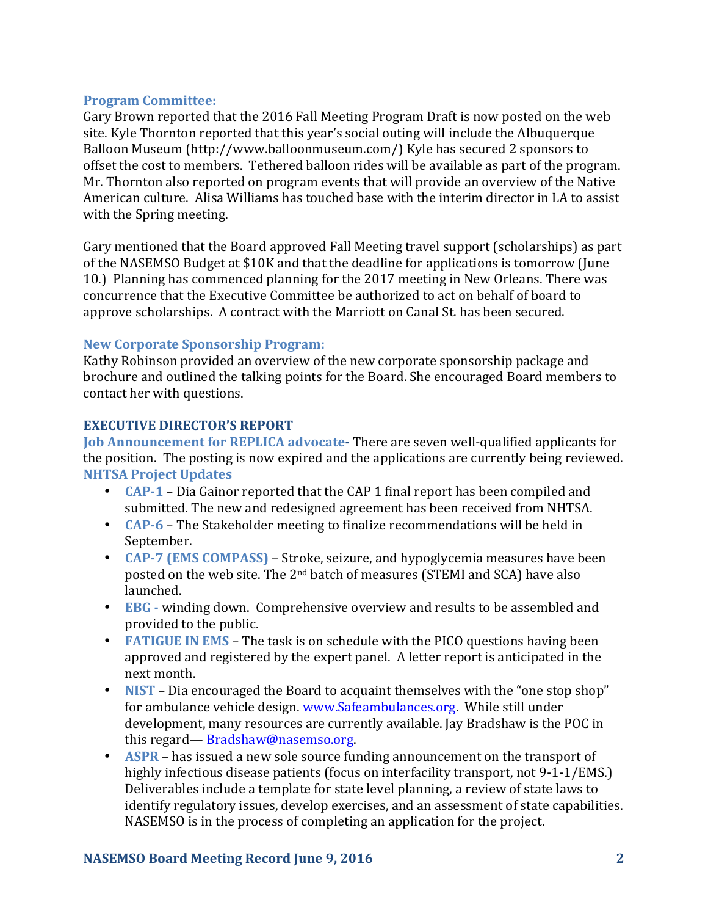#### **Program Committee:**

Gary Brown reported that the 2016 Fall Meeting Program Draft is now posted on the web site. Kyle Thornton reported that this year's social outing will include the Albuquerque Balloon Museum (http://www.balloonmuseum.com/) Kyle has secured 2 sponsors to offset the cost to members. Tethered balloon rides will be available as part of the program. Mr. Thornton also reported on program events that will provide an overview of the Native American culture. Alisa Williams has touched base with the interim director in LA to assist with the Spring meeting.

Gary mentioned that the Board approved Fall Meeting travel support (scholarships) as part of the NASEMSO Budget at \$10K and that the deadline for applications is tomorrow (June 10.) Planning has commenced planning for the 2017 meeting in New Orleans. There was concurrence that the Executive Committee be authorized to act on behalf of board to approve scholarships. A contract with the Marriott on Canal St. has been secured.

### **New Corporate Sponsorship Program:**

Kathy Robinson provided an overview of the new corporate sponsorship package and brochure and outlined the talking points for the Board. She encouraged Board members to contact her with questions.

### **EXECUTIVE DIRECTOR'S REPORT**

**Job Announcement for REPLICA advocate-** There are seven well-qualified applicants for the position. The posting is now expired and the applications are currently being reviewed. **NHTSA Project Updates**

- **CAP-1** Dia Gainor reported that the CAP 1 final report has been compiled and submitted. The new and redesigned agreement has been received from NHTSA.
- **CAP-6** The Stakeholder meeting to finalize recommendations will be held in September.
- **CAP-7** (EMS COMPASS) Stroke, seizure, and hypoglycemia measures have been posted on the web site. The  $2^{nd}$  batch of measures (STEMI and SCA) have also launched.
- **EBG** winding down. Comprehensive overview and results to be assembled and provided to the public.
- **FATIGUE IN EMS** The task is on schedule with the PICO questions having been approved and registered by the expert panel. A letter report is anticipated in the next month.
- **NIST** Dia encouraged the Board to acquaint themselves with the "one stop shop" for ambulance vehicle design. www.Safeambulances.org. While still under development, many resources are currently available. Jay Bradshaw is the POC in this regard— [Bradshaw@nasemso.org.](mailto:Bradshaw@nasemso.org)
- **ASPR** has issued a new sole source funding announcement on the transport of highly infectious disease patients (focus on interfacility transport, not 9-1-1/EMS.) Deliverables include a template for state level planning, a review of state laws to identify regulatory issues, develop exercises, and an assessment of state capabilities. NASEMSO is in the process of completing an application for the project.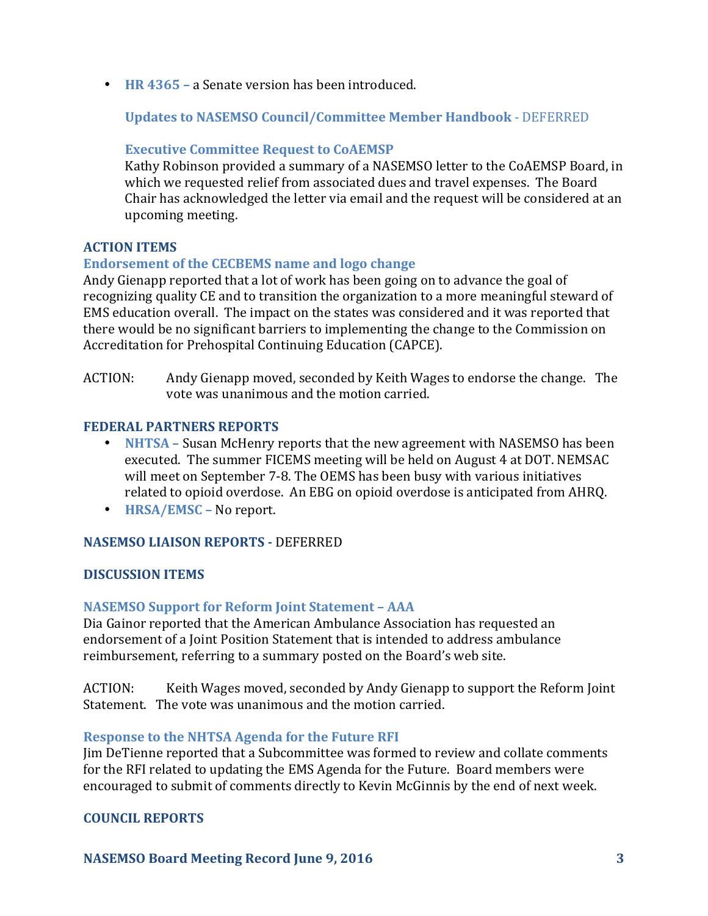• **HR 4365** – a Senate version has been introduced.

**Updates to NASEMSO Council/Committee Member Handbook - DEFERRED** 

### **Executive Committee Request to CoAEMSP**

Kathy Robinson provided a summary of a NASEMSO letter to the CoAEMSP Board, in which we requested relief from associated dues and travel expenses. The Board Chair has acknowledged the letter via email and the request will be considered at an upcoming meeting.

# **ACTION ITEMS**

# **Endorsement of the CECBEMS name and logo change**

Andy Gienapp reported that a lot of work has been going on to advance the goal of recognizing quality CE and to transition the organization to a more meaningful steward of EMS education overall. The impact on the states was considered and it was reported that there would be no significant barriers to implementing the change to the Commission on Accreditation for Prehospital Continuing Education (CAPCE).

ACTION: Andy Gienapp moved, seconded by Keith Wages to endorse the change. The vote was unanimous and the motion carried.

### **FEDERAL PARTNERS REPORTS**

- **NHTSA** Susan McHenry reports that the new agreement with NASEMSO has been executed. The summer FICEMS meeting will be held on August 4 at DOT. NEMSAC will meet on September 7-8. The OEMS has been busy with various initiatives related to opioid overdose. An EBG on opioid overdose is anticipated from AHRQ.
- **HRSA/EMSC** No report.

### **NASEMSO LIAISON REPORTS -** DEFERRED

### **DISCUSSION ITEMS**

### **NASEMSO Support for Reform Joint Statement - AAA**

Dia Gainor reported that the American Ambulance Association has requested an endorsement of a Joint Position Statement that is intended to address ambulance reimbursement, referring to a summary posted on the Board's web site.

ACTION: Keith Wages moved, seconded by Andy Gienapp to support the Reform Joint Statement. The vote was unanimous and the motion carried.

### **Response to the NHTSA Agenda for the Future RFI**

Iim DeTienne reported that a Subcommittee was formed to review and collate comments for the RFI related to updating the EMS Agenda for the Future. Board members were encouraged to submit of comments directly to Kevin McGinnis by the end of next week.

### **COUNCIL REPORTS**

**NASEMSO Board Meeting Record June 9, 2016 3**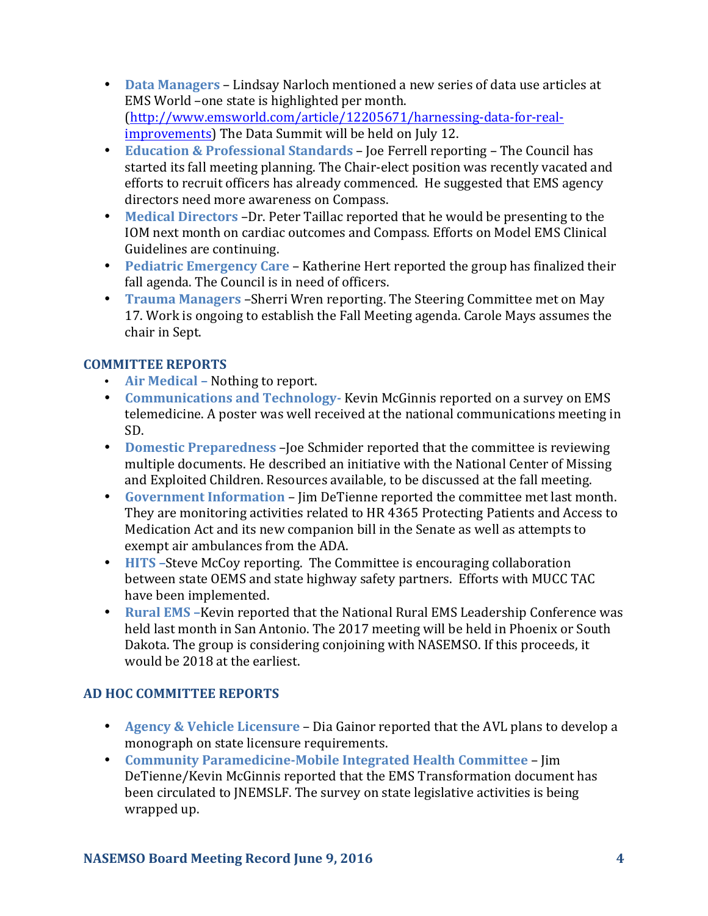- **Data Managers** Lindsay Narloch mentioned a new series of data use articles at EMS World -one state is highlighted per month. [\(http://www.emsworld.com/article/12205671/harnessing-data-for-real](http://www.emsworld.com/article/12205671/harnessing-data-for-real-improvements)[improvements](http://www.emsworld.com/article/12205671/harnessing-data-for-real-improvements)) The Data Summit will be held on July 12.
- **Education & Professional Standards** Joe Ferrell reporting The Council has started its fall meeting planning. The Chair-elect position was recently vacated and efforts to recruit officers has already commenced. He suggested that EMS agency directors need more awareness on Compass.
- Medical Directors -Dr. Peter Taillac reported that he would be presenting to the IOM next month on cardiac outcomes and Compass. Efforts on Model EMS Clinical Guidelines are continuing.
- **Pediatric Emergency Care** Katherine Hert reported the group has finalized their fall agenda. The Council is in need of officers.
- **Trauma Managers** Sherri Wren reporting. The Steering Committee met on May 17. Work is ongoing to establish the Fall Meeting agenda. Carole Mays assumes the chair in Sept.

# **COMMITTEE REPORTS**

- **Air Medical** Nothing to report.
- **Communications and Technology** Kevin McGinnis reported on a survey on EMS telemedicine. A poster was well received at the national communications meeting in SD.
- **Domestic Preparedness** Joe Schmider reported that the committee is reviewing multiple documents. He described an initiative with the National Center of Missing and Exploited Children. Resources available, to be discussed at the fall meeting.
- Government Information Jim DeTienne reported the committee met last month. They are monitoring activities related to HR 4365 Protecting Patients and Access to Medication Act and its new companion bill in the Senate as well as attempts to exempt air ambulances from the ADA.
- **HITS** –Steve McCoy reporting. The Committee is encouraging collaboration between state OEMS and state highway safety partners. Efforts with MUCC TAC have been implemented.
- **Rural EMS** Kevin reported that the National Rural EMS Leadership Conference was held last month in San Antonio. The 2017 meeting will be held in Phoenix or South Dakota. The group is considering conjoining with NASEMSO. If this proceeds, it would be 2018 at the earliest.

# **AD HOC COMMITTEE REPORTS**

- **Agency & Vehicle Licensure** Dia Gainor reported that the AVL plans to develop a monograph on state licensure requirements.
- **Community Paramedicine-Mobile Integrated Health Committee** Jim DeTienne/Kevin McGinnis reported that the EMS Transformation document has been circulated to JNEMSLF. The survey on state legislative activities is being wrapped up.